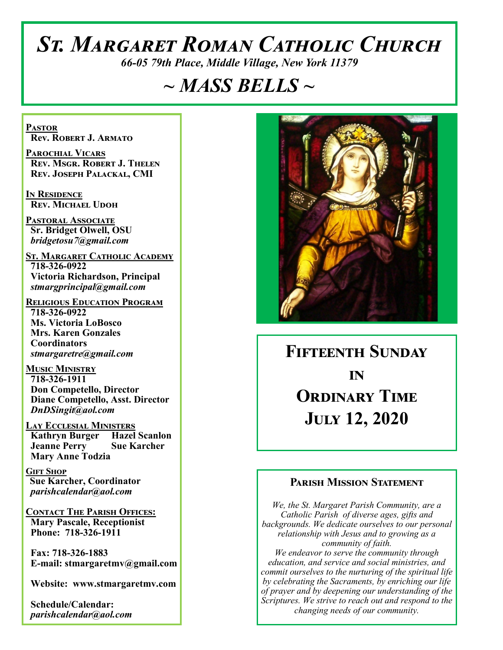# *St. Margaret Roman Catholic Church*

*66-05 79th Place, Middle Village, New York 11379*

# *~ MASS BELLS ~*

**Pastor Rev. Robert J. Armato**

**Parochial Vicars Rev. Msgr. Robert J. Thelen Rev. Joseph Palackal, CMI**

**In Residence Rev. Michael Udoh**

**Pastoral Associate Sr. Bridget Olwell, OSU**  *bridgetosu7@gmail.com*

**St. Margaret Catholic Academy 718-326-0922 Victoria Richardson, Principal**  *stmargprincipal@gmail.com*

**Religious Education Program 718-326-0922 Ms. Victoria LoBosco Mrs. Karen Gonzales Coordinators** *stmargaretre@gmail.com*

**Music Ministry 718-326-1911 Don Competello, Director Diane Competello, Asst. Director** *DnDSingit@aol.com*

**Lay Ecclesial Ministers Kathryn Burger Hazel Scanlon Jeanne Perry Sue Karcher Mary Anne Todzia**

**Gift Shop Sue Karcher, Coordinator** *parishcalendar@aol.com*

**Contact The Parish Offices: Mary Pascale, Receptionist Phone: 718-326-1911** 

 **Fax: 718-326-1883 E-mail: stmargaretmv@gmail.com**

 **Website: www.stmargaretmv.com**

 **Schedule/Calendar:** *parishcalendar@aol.com* 



**Fifteenth Sunday in Ordinary Time July 12, 2020** 

#### **Parish Mission Statement**

*We, the St. Margaret Parish Community, are a Catholic Parish of diverse ages, gifts and backgrounds. We dedicate ourselves to our personal relationship with Jesus and to growing as a community of faith. We endeavor to serve the community through education, and service and social ministries, and commit ourselves to the nurturing of the spiritual life by celebrating the Sacraments, by enriching our life of prayer and by deepening our understanding of the Scriptures. We strive to reach out and respond to the changing needs of our community.*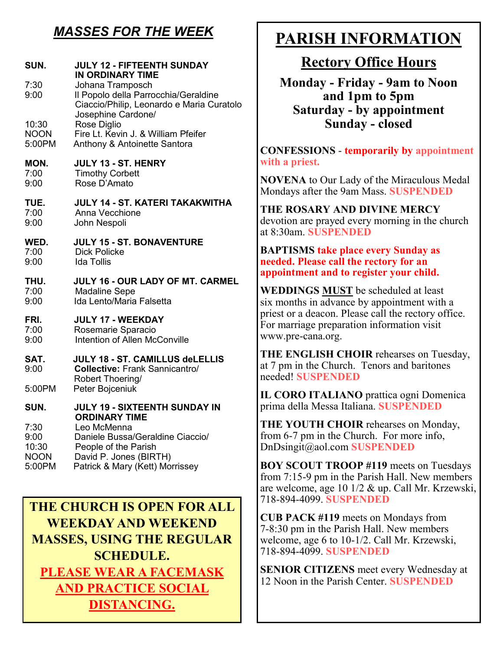## *MASSES FOR THE WEEK*

| SUN.         | <b>JULY 12 - FIFTEENTH SUNDAY</b><br><b>IN ORDINARY TIME</b>                                                                |
|--------------|-----------------------------------------------------------------------------------------------------------------------------|
| 7:30<br>9:00 | Johana Tramposch<br>Il Popolo della Parrocchia/Geraldine<br>Ciaccio/Philip, Leonardo e Maria Curatolo<br>Josephine Cardone/ |
| 10:30        | Rose Diglio                                                                                                                 |
| <b>NOON</b>  | Fire Lt. Kevin J. & William Pfeifer                                                                                         |
| 5:00PM       | Anthony & Antoinette Santora                                                                                                |
| MON.         | JULY 13 - ST. HENRY                                                                                                         |
| 7:00         | <b>Timothy Corbett</b>                                                                                                      |
| 9:00         | Rose D'Amato                                                                                                                |
| TUE.         | <b>JULY 14 - ST. KATERI TAKAKWITHA</b>                                                                                      |
| 7:00         | Anna Vecchione                                                                                                              |
| 9:00         | John Nespoli                                                                                                                |
| WED.         | <b>JULY 15 - ST. BONAVENTURE</b>                                                                                            |
| 7:00         | <b>Dick Policke</b>                                                                                                         |
| 9:00         | <b>Ida Tollis</b>                                                                                                           |
| THU.         | JULY 16 - OUR LADY OF MT. CARMEL                                                                                            |
| 7:00         | <b>Madaline Sepe</b>                                                                                                        |
| 9:00         | Ida Lento/Maria Falsetta                                                                                                    |
| FRI.         | <b>JULY 17 - WEEKDAY</b>                                                                                                    |
| 7:00         | Rosemarie Sparacio                                                                                                          |
| 9:00         | Intention of Allen McConville                                                                                               |
| SAT.<br>9:00 | <b>JULY 18 - ST. CAMILLUS deLELLIS</b><br><b>Collective: Frank Sannicantro/</b><br>Robert Thoering/                         |
| 5:00PM       | Peter Bojceniuk                                                                                                             |
| SUN.         | JULY 19 - SIXTEENTH SUNDAY IN<br><b>ORDINARY TIME</b>                                                                       |
| 7:30         | Leo McMenna                                                                                                                 |
| 9:00         | Daniele Bussa/Geraldine Ciaccio/                                                                                            |
| 10:30        | People of the Parish                                                                                                        |
| <b>NOON</b>  | David P. Jones (BIRTH)                                                                                                      |
| 5:00PM       | Patrick & Mary (Kett) Morrissey                                                                                             |

**THE CHURCH IS OPEN FOR ALL WEEKDAY AND WEEKEND MASSES, USING THE REGULAR SCHEDULE. PLEASE WEAR A FACEMASK AND PRACTICE SOCIAL DISTANCING.**

## **PARISH INFORMATION**

## **Rectory Office Hours**

**Monday - Friday - 9am to Noon and 1pm to 5pm Saturday - by appointment Sunday - closed**

**CONFESSIONS** - **temporarily by appointment with a priest.**

**NOVENA** to Our Lady of the Miraculous Medal Mondays after the 9am Mass. **SUSPENDED**

**THE ROSARY AND DIVINE MERCY** devotion are prayed every morning in the church at 8:30am. **SUSPENDED**

#### **BAPTISMS take place every Sunday as needed. Please call the rectory for an appointment and to register your child.**

**WEDDINGS MUST** be scheduled at least six months in advance by appointment with a priest or a deacon. Please call the rectory office. For marriage preparation information visit www.pre-cana.org.

**THE ENGLISH CHOIR** rehearses on Tuesday, at 7 pm in the Church. Tenors and baritones needed! **SUSPENDED**

**IL CORO ITALIANO** prattica ogni Domenica prima della Messa Italiana. **SUSPENDED**

**THE YOUTH CHOIR** rehearses on Monday, from 6-7 pm in the Church. For more info, DnDsingit@aol.com **SUSPENDED**

**BOY SCOUT TROOP #119** meets on Tuesdays from 7:15-9 pm in the Parish Hall. New members are welcome, age 10 1/2 & up. Call Mr. Krzewski, 718-894-4099. **SUSPENDED**

**CUB PACK #119** meets on Mondays from 7-8:30 pm in the Parish Hall. New members welcome, age 6 to 10-1/2. Call Mr. Krzewski, 718-894-4099. **SUSPENDED**

**SENIOR CITIZENS** meet every Wednesday at 12 Noon in the Parish Center. **SUSPENDED**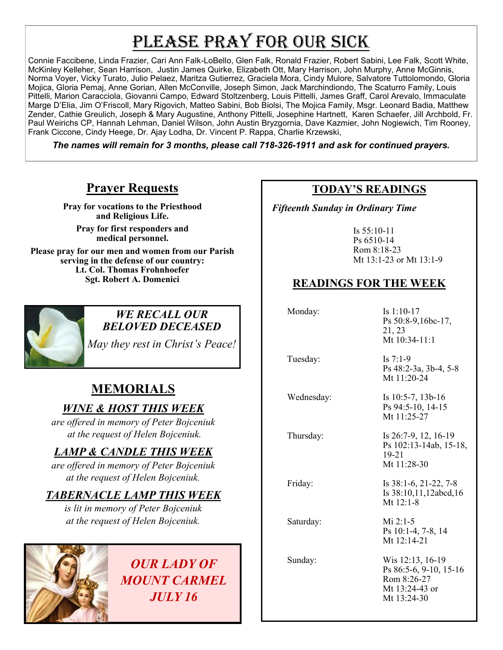# PLEASE PRAY FOR OUR SICK

Connie Faccibene, Linda Frazier, Cari Ann Falk-LoBello, Glen Falk, Ronald Frazier, Robert Sabini, Lee Falk, Scott White, McKinley Kelleher, Sean Harrison, Justin James Quirke, Elizabeth Ott, Mary Harrison, John Murphy, Anne McGinnis, Norma Voyer, Vicky Turato, Julio Pelaez, Maritza Gutierrez, Graciela Mora, Cindy Mulore, Salvatore Tuttolomondo, Gloria Mojica, Gloria Pemaj, Anne Gorian, Allen McConville, Joseph Simon, Jack Marchindiondo, The Scaturro Family, Louis Pittelli, Marion Caracciola, Giovanni Campo, Edward Stoltzenberg, Louis Pittelli, James Graff, Carol Arevalo, Immaculate Marge D'Elia, Jim O'Friscoll, Mary Rigovich, Matteo Sabini, Bob Biolsi, The Mojica Family, Msgr. Leonard Badia, Matthew Zender, Cathie Greulich, Joseph & Mary Augustine, Anthony Pittelli, Josephine Hartnett, Karen Schaefer, Jill Archbold, Fr. Paul Weirichs CP, Hannah Lehman, Daniel Wilson, John Austin Bryzgornia, Dave Kazmier, John Nogiewich, Tim Rooney, Frank Ciccone, Cindy Heege, Dr. Ajay Lodha, Dr. Vincent P. Rappa, Charlie Krzewski,

*The names will remain for 3 months, please call 718-326-1911 and ask for continued prayers.*

## **Prayer Requests**

**Pray for vocations to the Priesthood and Religious Life. Pray for first responders and medical personnel.**

**Please pray for our men and women from our Parish serving in the defense of our country: Lt. Col. Thomas Frohnhoefer Sgt. Robert A. Domenici** 



*WE RECALL OUR BELOVED DECEASED*

*May they rest in Christ's Peace!*

## **MEMORIALS**

#### *WINE & HOST THIS WEEK*

*are offered in memory of Peter Bojceniuk at the request of Helen Bojceniuk.* 

#### *LAMP & CANDLE THIS WEEK*

*are offered in memory of Peter Bojceniuk at the request of Helen Bojceniuk.*

#### *TABERNACLE LAMP THIS WEEK*

*is lit in memory of Peter Bojceniuk at the request of Helen Bojceniuk.*



## *OUR LADY OF MOUNT CARMEL JULY 16*

#### **TODAY'S READINGS**

 *Fifteenth Sunday in Ordinary Time*

Is 55:10-11 Ps 6510-14 Rom 8:18-23 Mt 13:1-23 or Mt 13:1-9

## **READINGS FOR THE WEEK**

Monday:

| $\bf{I}$ s 1:10-17 |
|--------------------|
| Ps 50:8-9,16bc-17, |
| 21, 23             |
| Mt $10:34-11:1$    |

Tuesday: Is 7:1-9

Ps 48:2-3a, 3b-4, 5-8 Mt 11:20-24

 Wednesday: Is 10:5-7, 13b-16 Ps 94:5-10, 14-15 Mt 11:25-27

> 19-21 Mt 11:28-30

 Thursday: Is 26:7-9, 12, 16-19 Ps 102:13-14ab, 15-18,

Saturday: Mi 2:1-5

Friday: Is 38:1-6, 21-22, 7-8 Is 38:10,11,12abcd,16 Mt 12:1-8

> Ps 10:1-4, 7-8, 14 Mt 12:14-21

 Sunday: Wis 12:13, 16-19 Ps 86:5-6, 9-10, 15-16 Rom 8:26-27 Mt 13:24-43 or Mt 13:24-30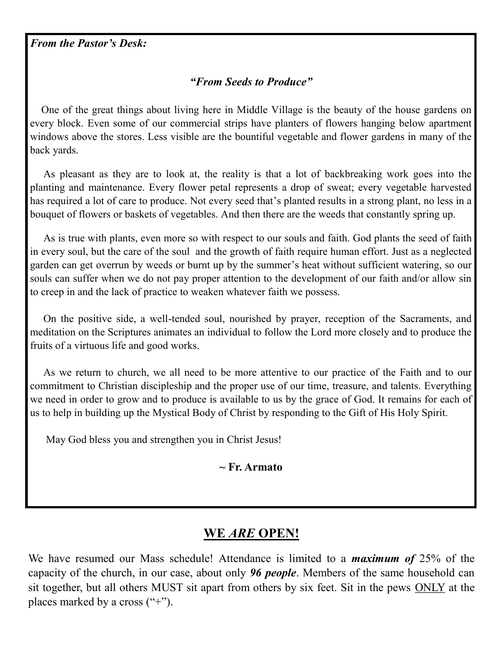#### *"From Seeds to Produce"*

 One of the great things about living here in Middle Village is the beauty of the house gardens on every block. Even some of our commercial strips have planters of flowers hanging below apartment windows above the stores. Less visible are the bountiful vegetable and flower gardens in many of the back yards.

 As pleasant as they are to look at, the reality is that a lot of backbreaking work goes into the planting and maintenance. Every flower petal represents a drop of sweat; every vegetable harvested has required a lot of care to produce. Not every seed that's planted results in a strong plant, no less in a bouquet of flowers or baskets of vegetables. And then there are the weeds that constantly spring up.

 As is true with plants, even more so with respect to our souls and faith. God plants the seed of faith in every soul, but the care of the soul and the growth of faith require human effort. Just as a neglected garden can get overrun by weeds or burnt up by the summer's heat without sufficient watering, so our souls can suffer when we do not pay proper attention to the development of our faith and/or allow sin to creep in and the lack of practice to weaken whatever faith we possess.

 On the positive side, a well-tended soul, nourished by prayer, reception of the Sacraments, and meditation on the Scriptures animates an individual to follow the Lord more closely and to produce the fruits of a virtuous life and good works.

 As we return to church, we all need to be more attentive to our practice of the Faith and to our commitment to Christian discipleship and the proper use of our time, treasure, and talents. Everything we need in order to grow and to produce is available to us by the grace of God. It remains for each of us to help in building up the Mystical Body of Christ by responding to the Gift of His Holy Spirit.

May God bless you and strengthen you in Christ Jesus!

#### **~ Fr. Armato**

## **WE** *ARE* **OPEN!**

We have resumed our Mass schedule! Attendance is limited to a *maximum of* 25% of the capacity of the church, in our case, about only *96 people*. Members of the same household can sit together, but all others MUST sit apart from others by six feet. Sit in the pews ONLY at the places marked by a cross  $($ "+" $)$ .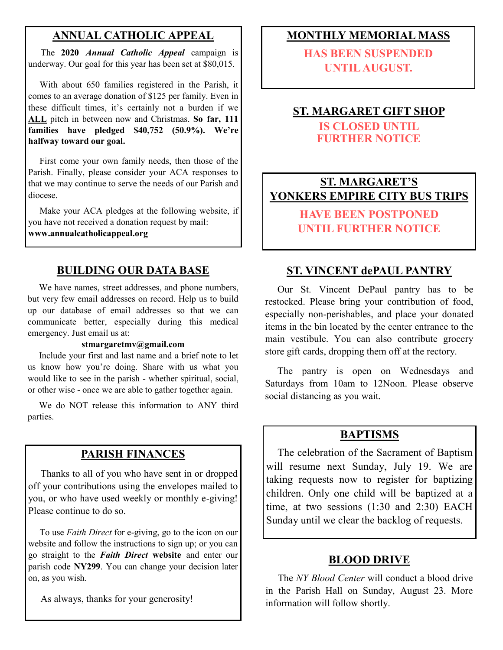#### **ANNUAL CATHOLIC APPEAL**

 The **2020** *Annual Catholic Appeal* campaign is underway. Our goal for this year has been set at \$80,015.

 With about 650 families registered in the Parish, it comes to an average donation of \$125 per family. Even in these difficult times, it's certainly not a burden if we **ALL** pitch in between now and Christmas. **So far, 111 families have pledged \$40,752 (50.9%). We're halfway toward our goal.**

 First come your own family needs, then those of the Parish. Finally, please consider your ACA responses to that we may continue to serve the needs of our Parish and diocese.

 Make your ACA pledges at the following website, if you have not received a donation request by mail: **www.annualcatholicappeal.org** 

## **BUILDING OUR DATA BASE**

 We have names, street addresses, and phone numbers, but very few email addresses on record. Help us to build up our database of email addresses so that we can communicate better, especially during this medical emergency. Just email us at:

#### **stmargaretmv@gmail.com**

 Include your first and last name and a brief note to let us know how you're doing. Share with us what you would like to see in the parish - whether spiritual, social, or other wise - once we are able to gather together again.

 We do NOT release this information to ANY third parties.

#### **PARISH FINANCES**

 Thanks to all of you who have sent in or dropped off your contributions using the envelopes mailed to you, or who have used weekly or monthly e-giving! Please continue to do so.

To use *Faith Direct* for e-giving, go to the icon on our website and follow the instructions to sign up; or you can go straight to the *Faith Direct* **website** and enter our parish code **NY299**. You can change your decision later on, as you wish.

As always, thanks for your generosity!

## **MONTHLY MEMORIAL MASS**

**HAS BEEN SUSPENDED UNTIL AUGUST.** 

## **ST. MARGARET GIFT SHOP**

**IS CLOSED UNTIL FURTHER NOTICE**

## **ST. MARGARET'S YONKERS EMPIRE CITY BUS TRIPS**

#### **HAVE BEEN POSTPONED UNTIL FURTHER NOTICE**

## **ST. VINCENT dePAUL PANTRY**

 Our St. Vincent DePaul pantry has to be restocked. Please bring your contribution of food, especially non-perishables, and place your donated items in the bin located by the center entrance to the main vestibule. You can also contribute grocery store gift cards, dropping them off at the rectory.

 The pantry is open on Wednesdays and Saturdays from 10am to 12Noon. Please observe social distancing as you wait.

#### **BAPTISMS**

 The celebration of the Sacrament of Baptism will resume next Sunday, July 19. We are taking requests now to register for baptizing children. Only one child will be baptized at a time, at two sessions (1:30 and 2:30) EACH Sunday until we clear the backlog of requests.

## **BLOOD DRIVE**

 The *NY Blood Center* will conduct a blood drive in the Parish Hall on Sunday, August 23. More information will follow shortly.